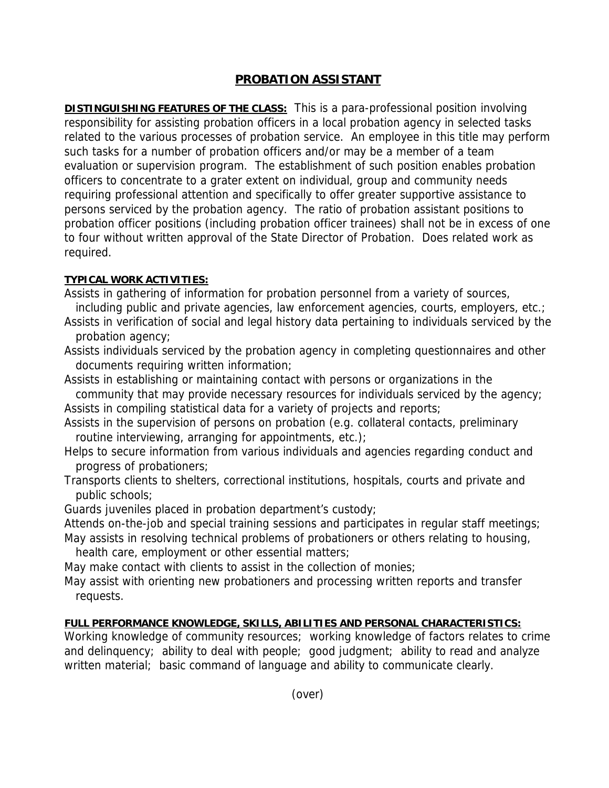## **PROBATION ASSISTANT**

**DISTINGUISHING FEATURES OF THE CLASS:** This is a para-professional position involving responsibility for assisting probation officers in a local probation agency in selected tasks related to the various processes of probation service. An employee in this title may perform such tasks for a number of probation officers and/or may be a member of a team evaluation or supervision program. The establishment of such position enables probation officers to concentrate to a grater extent on individual, group and community needs requiring professional attention and specifically to offer greater supportive assistance to persons serviced by the probation agency. The ratio of probation assistant positions to probation officer positions (including probation officer trainees) shall not be in excess of one to four without written approval of the State Director of Probation. Does related work as required.

## **TYPICAL WORK ACTIVITIES:**

- Assists in gathering of information for probation personnel from a variety of sources, including public and private agencies, law enforcement agencies, courts, employers, etc.;
- Assists in verification of social and legal history data pertaining to individuals serviced by the probation agency;
- Assists individuals serviced by the probation agency in completing questionnaires and other documents requiring written information;
- Assists in establishing or maintaining contact with persons or organizations in the community that may provide necessary resources for individuals serviced by the agency; Assists in compiling statistical data for a variety of projects and reports;
- Assists in the supervision of persons on probation (e.g. collateral contacts, preliminary routine interviewing, arranging for appointments, etc.);
- Helps to secure information from various individuals and agencies regarding conduct and progress of probationers;
- Transports clients to shelters, correctional institutions, hospitals, courts and private and public schools;
- Guards juveniles placed in probation department's custody;
- Attends on-the-job and special training sessions and participates in regular staff meetings; May assists in resolving technical problems of probationers or others relating to housing,

health care, employment or other essential matters;

May make contact with clients to assist in the collection of monies;

May assist with orienting new probationers and processing written reports and transfer requests.

## **FULL PERFORMANCE KNOWLEDGE, SKILLS, ABILITIES AND PERSONAL CHARACTERISTICS:**

Working knowledge of community resources; working knowledge of factors relates to crime and delinquency; ability to deal with people; good judgment; ability to read and analyze written material; basic command of language and ability to communicate clearly.